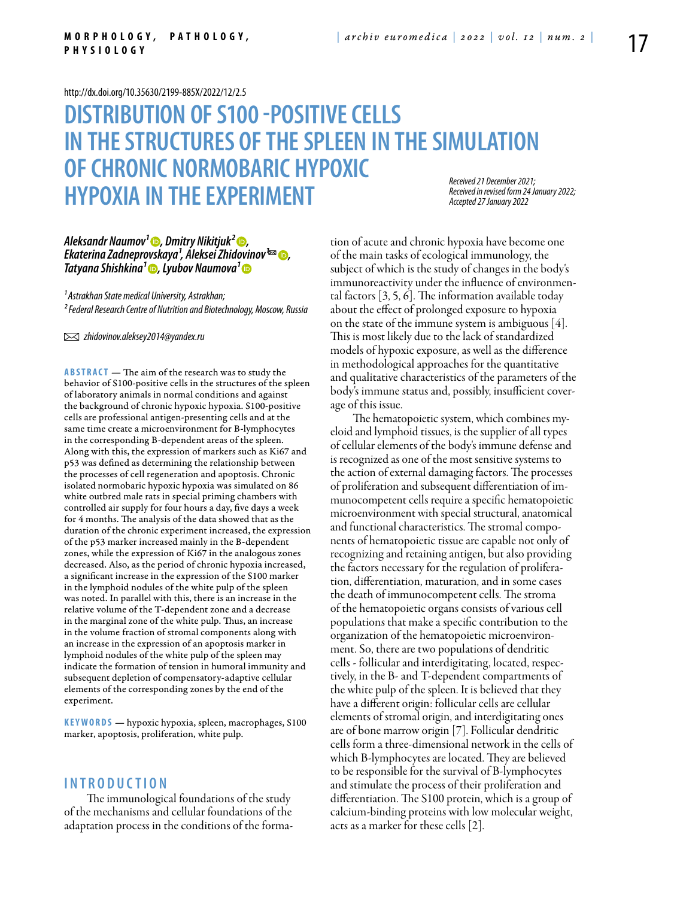#### <http://dx.doi.org/10.35630/2199-885X/2022/12/2.5>

# **DISTRIBUTION OF S100 -POSITIVE CELLS IN THESTRUCTURES OF THESPLEEN IN THESIMULATION OF CHRONIC NORMOBARIC HYPOXIC HYPOXIA IN THE EXPERIMENT** *Received 21 December 2021; Accepted 27 January 2022*

*Received in revised form 24 January 2022;* 

# *Aleksandr Naumov<sup>1</sup>⊕, [Dmitry Nikitjuk](https://orcid.org/0000-0002-4968-4517)<sup>2</sup>⊜,<br>Ekaterina Zadneprovskaya<sup>1</sup>, Aleksei Zhidovinov<sup>1</sup>∞ ©,<br>[Tatyana Shishkina](https://orcid.org/0000-0001-5843-4862)<sup>1</sup> ©, [Lyubov Naumova](https://orcid.org/0000-0002-1120-598X)<sup>1</sup> ©*

*¹ Astrakhan State medical University, Astrakhan; ² Federal Research Centre of Nutrition and Biotechnology, Moscow, Russia*

 *zhidovinov.aleksey2014@yandex.ru*

**Abstract** — The aim of the research was to study the behavior of S100-positive cells in the structures of the spleen of laboratory animals in normal conditions and against the background of chronic hypoxic hypoxia. S100-positive cells are professional antigen-presenting cells and at the same time create a microenvironment for B-lymphocytes in the corresponding B-dependent areas of the spleen. Along with this, the expression of markers such as Ki67 and p53 was defined as determining the relationship between the processes of cell regeneration and apoptosis. Chronic isolated normobaric hypoxic hypoxia was simulated on 86 white outbred male rats in special priming chambers with controlled air supply for four hours a day, five days a week for 4 months. The analysis of the data showed that as the duration of the chronic experiment increased, the expression of the p53 marker increased mainly in the B-dependent zones, while the expression of Ki67 in the analogous zones decreased. Also, as the period of chronic hypoxia increased, a significant increase in the expression of the S100 marker in the lymphoid nodules of the white pulp of the spleen was noted. In parallel with this, there is an increase in the relative volume of the T-dependent zone and a decrease in the marginal zone of the white pulp. Thus, an increase in the volume fraction of stromal components along with an increase in the expression of an apoptosis marker in lymphoid nodules of the white pulp of the spleen may indicate the formation of tension in humoral immunity and subsequent depletion of compensatory-adaptive cellular elements of the corresponding zones by the end of the experiment.

KEYWORDS — hypoxic hypoxia, spleen, macrophages, S100 marker, apoptosis, proliferation, white pulp.

### **I n t r o ducti o n**

The immunological foundations of the study of the mechanisms and cellular foundations of the adaptation process in the conditions of the formation of acute and chronic hypoxia have become one of the main tasks of ecological immunology, the subject of which is the study of changes in the body's immunoreactivity under the influence of environmental factors [3, 5, 6]. The information available today about the effect of prolonged exposure to hypoxia on the state of the immune system is ambiguous [4]. This is most likely due to the lack of standardized models of hypoxic exposure, as well as the difference in methodological approaches for the quantitative and qualitative characteristics of the parameters of the body's immune status and, possibly, insufficient coverage of this issue.

The hematopoietic system, which combines myeloid and lymphoid tissues, is the supplier of all types of cellular elements of the body's immune defense and is recognized as one of the most sensitive systems to the action of external damaging factors. The processes of proliferation and subsequent differentiation of immunocompetent cells require a specific hematopoietic microenvironment with special structural, anatomical and functional characteristics. The stromal components of hematopoietic tissue are capable not only of recognizing and retaining antigen, but also providing the factors necessary for the regulation of proliferation, differentiation, maturation, and in some cases the death of immunocompetent cells. The stroma of the hematopoietic organs consists of various cell populations that make a specific contribution to the organization of the hematopoietic microenvironment. So, there are two populations of dendritic cells - follicular and interdigitating, located, respectively, in the B- and T-dependent compartments of the white pulp of the spleen. It is believed that they have a different origin: follicular cells are cellular elements of stromal origin, and interdigitating ones are of bone marrow origin [7]. Follicular dendritic cells form a three-dimensional network in the cells of which B-lymphocytes are located. They are believed to be responsible for the survival of B-lymphocytes and stimulate the process of their proliferation and differentiation. The S100 protein, which is a group of calcium-binding proteins with low molecular weight, acts as a marker for these cells [2].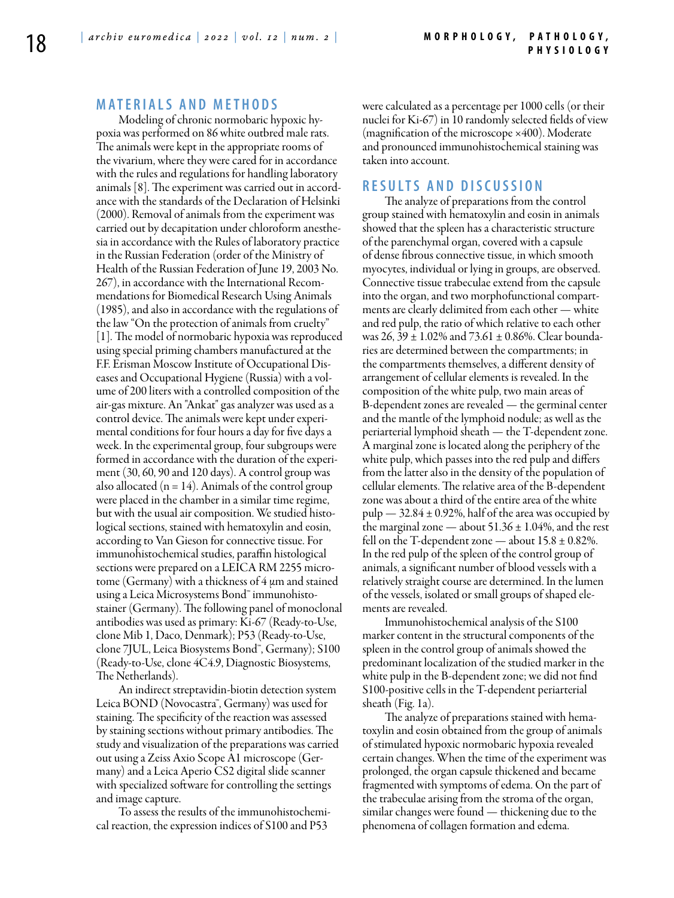# **MATERIALS AND METHODS**

Modeling of chronic normobaric hypoxic hypoxia was performed on 86 white outbred male rats. The animals were kept in the appropriate rooms of the vivarium, where they were cared for in accordance with the rules and regulations for handling laboratory animals [8]. The experiment was carried out in accordance with the standards of the Declaration of Helsinki (2000). Removal of animals from the experiment was carried out by decapitation under chloroform anesthesia in accordance with the Rules of laboratory practice in the Russian Federation (order of the Ministry of Health of the Russian Federation of June 19, 2003 No. 267), in accordance with the International Recommendations for Biomedical Research Using Animals (1985), and also in accordance with the regulations of the law "On the protection of animals from cruelty" [1]. The model of normobaric hypoxia was reproduced using special priming chambers manufactured at the F.F. Erisman Moscow Institute of Occupational Diseases and Occupational Hygiene (Russia) with a volume of 200 liters with a controlled composition of the air-gas mixture. An "Ankat" gas analyzer was used as a control device. The animals were kept under experimental conditions for four hours a day for five days a week. In the experimental group, four subgroups were formed in accordance with the duration of the experiment (30, 60, 90 and 120 days). A control group was also allocated ( $n = 14$ ). Animals of the control group were placed in the chamber in a similar time regime, but with the usual air composition. We studied histological sections, stained with hematoxylin and eosin, according to Van Gieson for connective tissue. For immunohistochemical studies, paraffin histological sections were prepared on a LEICA RM 2255 microtome (Germany) with a thickness of  $4 \mu$ m and stained using a Leica Microsystems Bond™ immunohistostainer (Germany). The following panel of monoclonal antibodies was used as primary: Ki-67 (Ready-to-Use, clone Mib 1, Daco, Denmark); P53 (Ready-to-Use, clone 7JUL, Leica Biosystems Bond™, Germany); S100 (Ready-to-Use, clone 4C4.9, Diagnostic Biosystems, The Netherlands).

An indirect streptavidin-biotin detection system Leica BOND (Novocastra™, Germany) was used for staining. The specificity of the reaction was assessed by staining sections without primary antibodies. The study and visualization of the preparations was carried out using a Zeiss Axio Scope A1 microscope (Germany) and a Leica Aperio CS2 digital slide scanner with specialized software for controlling the settings and image capture.

To assess the results of the immunohistochemical reaction, the expression indices of S100 and P53

were calculated as a percentage per 1000 cells (or their nuclei for Ki-67) in 10 randomly selected fields of view (magnification of the microscope ×400). Moderate and pronounced immunohistochemical staining was taken into account.

## **R e s ult s a n d D iscu s si o n**

The analyze of preparations from the control group stained with hematoxylin and eosin in animals showed that the spleen has a characteristic structure of the parenchymal organ, covered with a capsule of dense fibrous connective tissue, in which smooth myocytes, individual or lying in groups, are observed. Connective tissue trabeculae extend from the capsule into the organ, and two morphofunctional compartments are clearly delimited from each other — white and red pulp, the ratio of which relative to each other was  $26$ ,  $39 \pm 1.02\%$  and  $73.61 \pm 0.86\%$ . Clear boundaries are determined between the compartments; in the compartments themselves, a different density of arrangement of cellular elements is revealed. In the composition of the white pulp, two main areas of B-dependent zones are revealed — the germinal center and the mantle of the lymphoid nodule; as well as the periarterial lymphoid sheath — the T-dependent zone. A marginal zone is located along the periphery of the white pulp, which passes into the red pulp and differs from the latter also in the density of the population of cellular elements. The relative area of the B-dependent zone was about a third of the entire area of the white pulp  $-32.84 \pm 0.92\%$ , half of the area was occupied by the marginal zone — about  $51.36 \pm 1.04$ %, and the rest fell on the T-dependent zone — about  $15.8 \pm 0.82\%$ . In the red pulp of the spleen of the control group of animals, a significant number of blood vessels with a relatively straight course are determined. In the lumen of the vessels, isolated or small groups of shaped elements are revealed.

Immunohistochemical analysis of the S100 marker content in the structural components of the spleen in the control group of animals showed the predominant localization of the studied marker in the white pulp in the B-dependent zone; we did not find S100-positive cells in the T-dependent periarterial sheath (Fig. 1a).

The analyze of preparations stained with hematoxylin and eosin obtained from the group of animals of stimulated hypoxic normobaric hypoxia revealed certain changes. When the time of the experiment was prolonged, the organ capsule thickened and became fragmented with symptoms of edema. On the part of the trabeculae arising from the stroma of the organ, similar changes were found — thickening due to the phenomena of collagen formation and edema.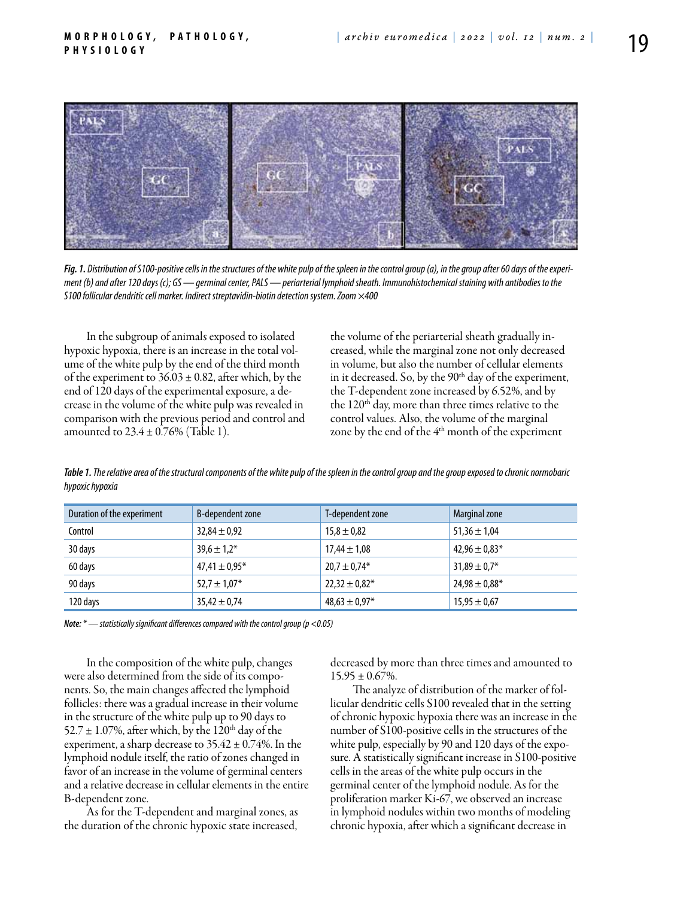

*Fig. 1. Distribution of S100-positive cells in the structures of the white pulp of the spleen in the control group (a), in the group after 60 days of the experiment (b) and after 120 days (c); GS — germinal center, PALS — periarterial lymphoid sheath. Immunohistochemical staining with antibodies to the S100 follicular dendritic cell marker. Indirect streptavidin-biotin detection system. Zoom ×400*

In the subgroup of animals exposed to isolated hypoxic hypoxia, there is an increase in the total volume of the white pulp by the end of the third month of the experiment to  $36.03 \pm 0.82$ , after which, by the end of 120 days of the experimental exposure, a decrease in the volume of the white pulp was revealed in comparison with the previous period and control and amounted to  $23.4 \pm 0.76\%$  (Table 1).

the volume of the periarterial sheath gradually increased, while the marginal zone not only decreased in volume, but also the number of cellular elements in it decreased. So, by the  $90<sup>th</sup>$  day of the experiment, the T-dependent zone increased by 6.52%, and by the  $120<sup>th</sup>$  day, more than three times relative to the control values. Also, the volume of the marginal zone by the end of the 4<sup>th</sup> month of the experiment

*Table 1. The relative area of the structural components of the white pulp of the spleen in the control group and the group exposed to chronic normobaric hypoxic hypoxia*

| Duration of the experiment | B-dependent zone  | T-dependent zone   | Marginal zone      |
|----------------------------|-------------------|--------------------|--------------------|
| Control                    | $32,84 \pm 0.92$  | $15,8 \pm 0.82$    | $51,36 \pm 1,04$   |
| 30 days                    | $39.6 \pm 1.2*$   | $17,44 \pm 1,08$   | $42,96 \pm 0.83*$  |
| 60 days                    | $47,41 \pm 0,95*$ | $20.7 \pm 0.74*$   | $31,89 \pm 0.7*$   |
| 90 days                    | $52,7 \pm 1,07$ * | $22,32 \pm 0,82^*$ | $24,98 \pm 0,88$ * |
| 120 days                   | $35,42 \pm 0,74$  | $48,63 \pm 0.97*$  | $15,95 \pm 0.67$   |

*Note: \* — statistically significant differences compared with the control group (p <0.05)*

In the composition of the white pulp, changes were also determined from the side of its components. So, the main changes affected the lymphoid follicles: there was a gradual increase in their volume in the structure of the white pulp up to 90 days to 52.7  $\pm$  1.07%, after which, by the 120<sup>th</sup> day of the experiment, a sharp decrease to  $35.42 \pm 0.74$ %. In the lymphoid nodule itself, the ratio of zones changed in favor of an increase in the volume of germinal centers and a relative decrease in cellular elements in the entire B-dependent zone.

As for the T-dependent and marginal zones, as the duration of the chronic hypoxic state increased, decreased by more than three times and amounted to  $15.95 \pm 0.67\%$ .

The analyze of distribution of the marker of follicular dendritic cells S100 revealed that in the setting of chronic hypoxic hypoxia there was an increase in the number of S100-positive cells in the structures of the white pulp, especially by 90 and 120 days of the exposure. A statistically significant increase in S100-positive cells in the areas of the white pulp occurs in the germinal center of the lymphoid nodule. As for the proliferation marker Ki-67, we observed an increase in lymphoid nodules within two months of modeling chronic hypoxia, after which a significant decrease in